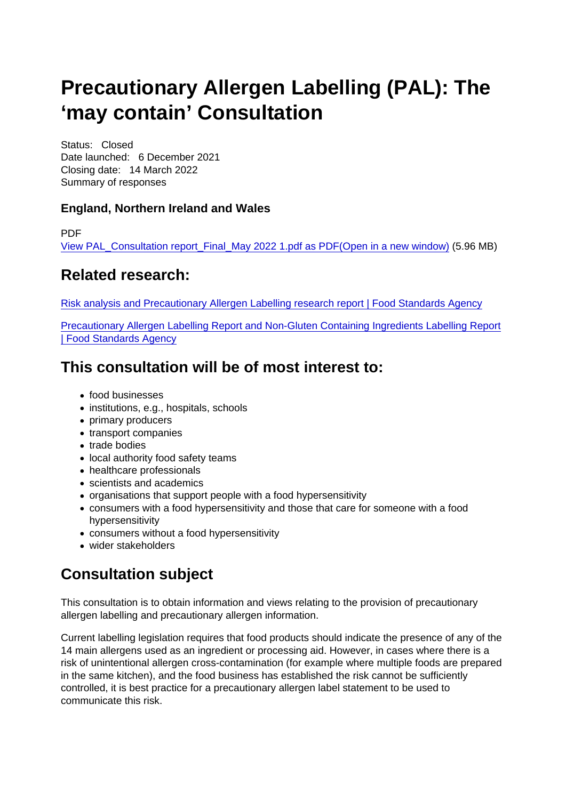# Precautionary Allergen Labelling (PAL): The 'may contain' Consultation

Status: Closed Date launched: 6 December 2021 Closing date: 14 March 2022 Summary of responses

England, Northern Ireland and Wales

PDF

[View PAL\\_Consultation report\\_Final\\_May 2022 1.pdf as PDF\(Open in a new window\)](https://www.food.gov.uk/sites/default/files/media/document/PAL_Consultation report_Final_May 2022 1.pdf) (5.96 MB)

#### Related research:

[Risk analysis and Precautionary Allergen Labelling research report | Food Standards Agency](https://www.food.gov.uk/research/food-allergy-and-intolerance-research/risk-analysis-and-precautionary-allergen-labelling-research-report)

[Precautionary Allergen Labelling Report and Non-Gluten Containing Ingredients Labelling Report](https://www.food.gov.uk/research/food-allergy-and-intolerance-research/precautionary-allergen-labelling-report-and-non-gluten-containing-ingredients-labelling-report) [| Food Standards Agency](https://www.food.gov.uk/research/food-allergy-and-intolerance-research/precautionary-allergen-labelling-report-and-non-gluten-containing-ingredients-labelling-report)

## This consultation will be of most interest to:

- food businesses
- institutions, e.g., hospitals, schools
- primary producers
- transport companies
- trade bodies
- local authority food safety teams
- healthcare professionals
- scientists and academics
- organisations that support people with a food hypersensitivity
- consumers with a food hypersensitivity and those that care for someone with a food hypersensitivity
- consumers without a food hypersensitivity
- wider stakeholders

# Consultation subject

This consultation is to obtain information and views relating to the provision of precautionary allergen labelling and precautionary allergen information.

Current labelling legislation requires that food products should indicate the presence of any of the 14 main allergens used as an ingredient or processing aid. However, in cases where there is a risk of unintentional allergen cross-contamination (for example where multiple foods are prepared in the same kitchen), and the food business has established the risk cannot be sufficiently controlled, it is best practice for a precautionary allergen label statement to be used to communicate this risk.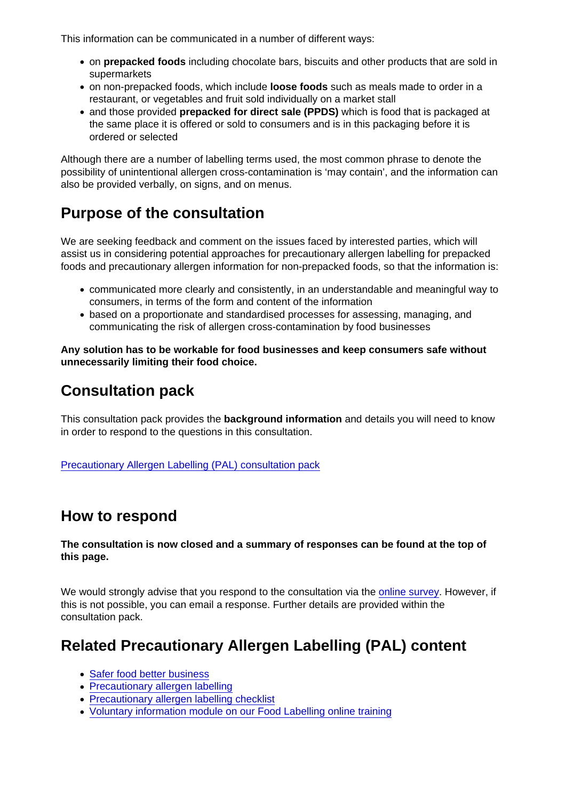This information can be communicated in a number of different ways:

- on prepacked foods including chocolate bars, biscuits and other products that are sold in supermarkets
- on non-prepacked foods, which include loose foods such as meals made to order in a restaurant, or vegetables and fruit sold individually on a market stall
- and those provided prepacked for direct sale (PPDS) which is food that is packaged at the same place it is offered or sold to consumers and is in this packaging before it is ordered or selected

Although there are a number of labelling terms used, the most common phrase to denote the possibility of unintentional allergen cross-contamination is 'may contain', and the information can also be provided verbally, on signs, and on menus.

# Purpose of the consultation

We are seeking feedback and comment on the issues faced by interested parties, which will assist us in considering potential approaches for precautionary allergen labelling for prepacked foods and precautionary allergen information for non-prepacked foods, so that the information is:

- communicated more clearly and consistently, in an understandable and meaningful way to consumers, in terms of the form and content of the information
- based on a proportionate and standardised processes for assessing, managing, and communicating the risk of allergen cross-contamination by food businesses

Any solution has to be workable for food businesses and keep consumers safe without unnecessarily limiting their food choice.

#### Consultation pack

This consultation pack provides the background information and details you will need to know in order to respond to the questions in this consultation.

[Precautionary Allergen Labelling \(PAL\) consultation pack](https://www.food.gov.uk/document/precautionary-allergen-labelling-pal-consultation-pack)

#### How to respond

The consultation is now closed and a summary of responses can be found at the top of this page.

We would strongly advise that you respond to the consultation via the [online survey](https://eu.research.net/r/PAL-consultation). However, if this is not possible, you can email a response. Further details are provided within the consultation pack.

# Related Precautionary Allergen Labelling (PAL) content

- [Safer food better business](https://www.food.gov.uk/business-guidance/safer-food-better-business-sfbb)
- [Precautionary allergen labelling](https://www.food.gov.uk/business-guidance/precautionary-allergen-labelling)
- [Precautionary allergen labelling checklist](https://www.food.gov.uk/business-guidance/precautionary-allergen-labelling-checklist)
- [Voluntary information module on our Food Labelling online training](https://labellingtraining.food.gov.uk/module12/overview_1.html)